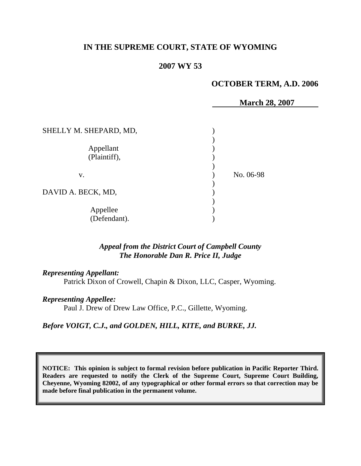# **IN THE SUPREME COURT, STATE OF WYOMING**

## **2007 WY 53**

### **OCTOBER TERM, A.D. 2006**

|                        | <b>March 28, 2007</b> |
|------------------------|-----------------------|
|                        |                       |
| SHELLY M. SHEPARD, MD, |                       |
|                        |                       |
| Appellant              |                       |
| (Plaintiff),           |                       |
|                        |                       |
| V.                     | No. 06-98             |
|                        |                       |
| DAVID A. BECK, MD,     |                       |
|                        |                       |
| Appellee               |                       |
| (Defendant).           |                       |
|                        |                       |

## *Appeal from the District Court of Campbell County The Honorable Dan R. Price II, Judge*

## *Representing Appellant:*

Patrick Dixon of Crowell, Chapin & Dixon, LLC, Casper, Wyoming.

### *Representing Appellee:*

Paul J. Drew of Drew Law Office, P.C., Gillette, Wyoming.

#### *Before VOIGT, C.J., and GOLDEN, HILL, KITE, and BURKE, JJ.*

**NOTICE: This opinion is subject to formal revision before publication in Pacific Reporter Third. Readers are requested to notify the Clerk of the Supreme Court, Supreme Court Building, Cheyenne, Wyoming 82002, of any typographical or other formal errors so that correction may be made before final publication in the permanent volume.**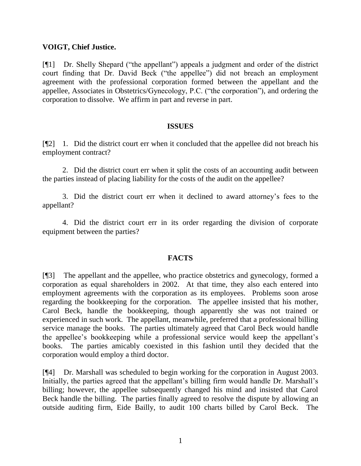# **VOIGT, Chief Justice.**

[¶1] Dr. Shelly Shepard ("the appellant") appeals a judgment and order of the district court finding that Dr. David Beck ("the appellee") did not breach an employment agreement with the professional corporation formed between the appellant and the appellee, Associates in Obstetrics/Gynecology, P.C. ("the corporation"), and ordering the corporation to dissolve. We affirm in part and reverse in part.

### **ISSUES**

[¶2] 1. Did the district court err when it concluded that the appellee did not breach his employment contract?

2. Did the district court err when it split the costs of an accounting audit between the parties instead of placing liability for the costs of the audit on the appellee?

3. Did the district court err when it declined to award attorney"s fees to the appellant?

4. Did the district court err in its order regarding the division of corporate equipment between the parties?

# **FACTS**

[¶3] The appellant and the appellee, who practice obstetrics and gynecology, formed a corporation as equal shareholders in 2002. At that time, they also each entered into employment agreements with the corporation as its employees. Problems soon arose regarding the bookkeeping for the corporation. The appellee insisted that his mother, Carol Beck, handle the bookkeeping, though apparently she was not trained or experienced in such work. The appellant, meanwhile, preferred that a professional billing service manage the books. The parties ultimately agreed that Carol Beck would handle the appellee"s bookkeeping while a professional service would keep the appellant"s books. The parties amicably coexisted in this fashion until they decided that the corporation would employ a third doctor.

[¶4] Dr. Marshall was scheduled to begin working for the corporation in August 2003. Initially, the parties agreed that the appellant's billing firm would handle Dr. Marshall's billing; however, the appellee subsequently changed his mind and insisted that Carol Beck handle the billing. The parties finally agreed to resolve the dispute by allowing an outside auditing firm, Eide Bailly, to audit 100 charts billed by Carol Beck. The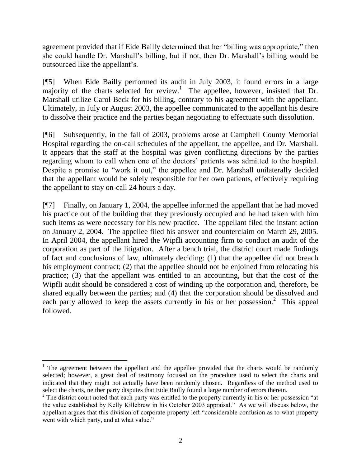agreement provided that if Eide Bailly determined that her "billing was appropriate," then she could handle Dr. Marshall"s billing, but if not, then Dr. Marshall"s billing would be outsourced like the appellant"s.

[¶5] When Eide Bailly performed its audit in July 2003, it found errors in a large majority of the charts selected for review.<sup>1</sup> The appellee, however, insisted that Dr. Marshall utilize Carol Beck for his billing, contrary to his agreement with the appellant. Ultimately, in July or August 2003, the appellee communicated to the appellant his desire to dissolve their practice and the parties began negotiating to effectuate such dissolution.

[¶6] Subsequently, in the fall of 2003, problems arose at Campbell County Memorial Hospital regarding the on-call schedules of the appellant, the appellee, and Dr. Marshall. It appears that the staff at the hospital was given conflicting directions by the parties regarding whom to call when one of the doctors" patients was admitted to the hospital. Despite a promise to "work it out," the appellee and Dr. Marshall unilaterally decided that the appellant would be solely responsible for her own patients, effectively requiring the appellant to stay on-call 24 hours a day.

[¶7] Finally, on January 1, 2004, the appellee informed the appellant that he had moved his practice out of the building that they previously occupied and he had taken with him such items as were necessary for his new practice. The appellant filed the instant action on January 2, 2004. The appellee filed his answer and counterclaim on March 29, 2005. In April 2004, the appellant hired the Wipfli accounting firm to conduct an audit of the corporation as part of the litigation. After a bench trial, the district court made findings of fact and conclusions of law, ultimately deciding: (1) that the appellee did not breach his employment contract; (2) that the appellee should not be enjoined from relocating his practice; (3) that the appellant was entitled to an accounting, but that the cost of the Wipfli audit should be considered a cost of winding up the corporation and, therefore, be shared equally between the parties; and (4) that the corporation should be dissolved and each party allowed to keep the assets currently in his or her possession.<sup>2</sup> This appeal followed.

 $\overline{a}$ 

 $1$  The agreement between the appellant and the appellee provided that the charts would be randomly selected; however, a great deal of testimony focused on the procedure used to select the charts and indicated that they might not actually have been randomly chosen. Regardless of the method used to select the charts, neither party disputes that Eide Bailly found a large number of errors therein.

<sup>&</sup>lt;sup>2</sup> The district court noted that each party was entitled to the property currently in his or her possession "at the value established by Kelly Killebrew in his October 2003 appraisal." As we will discuss below, the appellant argues that this division of corporate property left "considerable confusion as to what property went with which party, and at what value."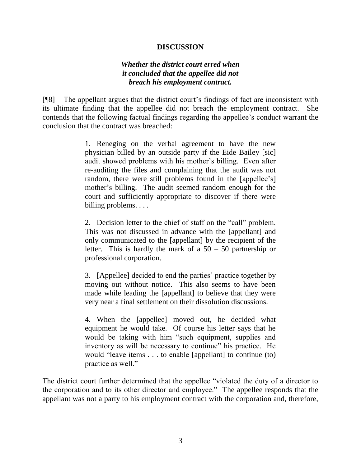# **DISCUSSION**

# *Whether the district court erred when it concluded that the appellee did not breach his employment contract.*

[¶8] The appellant argues that the district court"s findings of fact are inconsistent with its ultimate finding that the appellee did not breach the employment contract. She contends that the following factual findings regarding the appellee"s conduct warrant the conclusion that the contract was breached:

> 1. Reneging on the verbal agreement to have the new physician billed by an outside party if the Eide Bailey [sic] audit showed problems with his mother"s billing. Even after re-auditing the files and complaining that the audit was not random, there were still problems found in the [appellee's] mother's billing. The audit seemed random enough for the court and sufficiently appropriate to discover if there were billing problems. . . .

> 2. Decision letter to the chief of staff on the "call" problem. This was not discussed in advance with the [appellant] and only communicated to the [appellant] by the recipient of the letter. This is hardly the mark of a  $50 - 50$  partnership or professional corporation.

> 3. [Appellee] decided to end the parties" practice together by moving out without notice. This also seems to have been made while leading the [appellant] to believe that they were very near a final settlement on their dissolution discussions.

> 4. When the [appellee] moved out, he decided what equipment he would take. Of course his letter says that he would be taking with him "such equipment, supplies and inventory as will be necessary to continue" his practice. He would "leave items . . . to enable [appellant] to continue (to) practice as well."

The district court further determined that the appellee "violated the duty of a director to the corporation and to its other director and employee." The appellee responds that the appellant was not a party to his employment contract with the corporation and, therefore,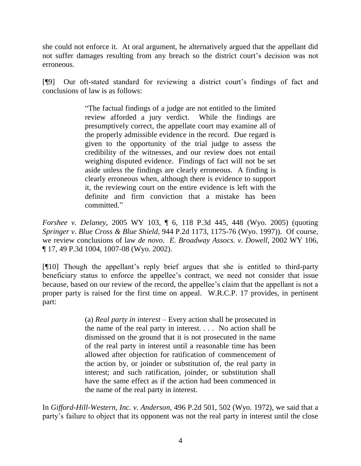she could not enforce it. At oral argument, he alternatively argued that the appellant did not suffer damages resulting from any breach so the district court's decision was not erroneous.

[¶9] Our oft-stated standard for reviewing a district court"s findings of fact and conclusions of law is as follows:

> "The factual findings of a judge are not entitled to the limited review afforded a jury verdict. While the findings are presumptively correct, the appellate court may examine all of the properly admissible evidence in the record. Due regard is given to the opportunity of the trial judge to assess the credibility of the witnesses, and our review does not entail weighing disputed evidence. Findings of fact will not be set aside unless the findings are clearly erroneous. A finding is clearly erroneous when, although there is evidence to support it, the reviewing court on the entire evidence is left with the definite and firm conviction that a mistake has been committed."

*Forshee v. Delaney*, 2005 WY 103, ¶ 6, 118 P.3d 445, 448 (Wyo. 2005) (quoting *Springer v. Blue Cross & Blue Shield*, 944 P.2d 1173, 1175-76 (Wyo. 1997)). Of course, we review conclusions of law *de novo*. *E. Broadway Assocs. v. Dowell*, 2002 WY 106, ¶ 17, 49 P.3d 1004, 1007-08 (Wyo. 2002).

[¶10] Though the appellant"s reply brief argues that she is entitled to third-party beneficiary status to enforce the appellee"s contract, we need not consider that issue because, based on our review of the record, the appellee"s claim that the appellant is not a proper party is raised for the first time on appeal. W.R.C.P. 17 provides, in pertinent part:

> (a) *Real party in interest* – Every action shall be prosecuted in the name of the real party in interest. . . . No action shall be dismissed on the ground that it is not prosecuted in the name of the real party in interest until a reasonable time has been allowed after objection for ratification of commencement of the action by, or joinder or substitution of, the real party in interest; and such ratification, joinder, or substitution shall have the same effect as if the action had been commenced in the name of the real party in interest.

In *Gifford-Hill-Western, Inc. v. Anderson*, 496 P.2d 501, 502 (Wyo. 1972), we said that a party"s failure to object that its opponent was not the real party in interest until the close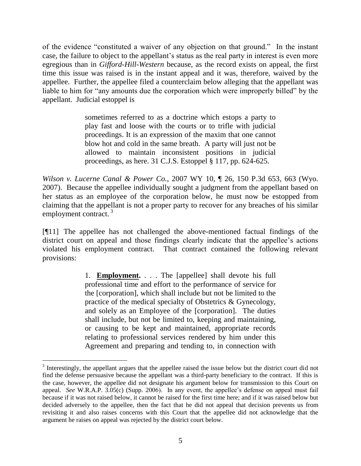of the evidence "constituted a waiver of any objection on that ground." In the instant case, the failure to object to the appellant"s status as the real party in interest is even more egregious than in *Gifford-Hill-Western* because, as the record exists on appeal, the first time this issue was raised is in the instant appeal and it was, therefore, waived by the appellee. Further, the appellee filed a counterclaim below alleging that the appellant was liable to him for "any amounts due the corporation which were improperly billed" by the appellant. Judicial estoppel is

> sometimes referred to as a doctrine which estops a party to play fast and loose with the courts or to trifle with judicial proceedings. It is an expression of the maxim that one cannot blow hot and cold in the same breath. A party will just not be allowed to maintain inconsistent positions in judicial proceedings, as here. 31 C.J.S. Estoppel § 117, pp. 624-625.

*Wilson v. Lucerne Canal & Power Co.*, 2007 WY 10, ¶ 26, 150 P.3d 653, 663 (Wyo. 2007). Because the appellee individually sought a judgment from the appellant based on her status as an employee of the corporation below, he must now be estopped from claiming that the appellant is not a proper party to recover for any breaches of his similar employment contract.<sup>3</sup>

[¶11] The appellee has not challenged the above-mentioned factual findings of the district court on appeal and those findings clearly indicate that the appellee's actions violated his employment contract. That contract contained the following relevant provisions:

> 1. **Employment.** . . . The [appellee] shall devote his full professional time and effort to the performance of service for the [corporation], which shall include but not be limited to the practice of the medical specialty of Obstetrics & Gynecology, and solely as an Employee of the [corporation]. The duties shall include, but not be limited to, keeping and maintaining, or causing to be kept and maintained, appropriate records relating to professional services rendered by him under this Agreement and preparing and tending to, in connection with

 $\overline{a}$ 

<sup>&</sup>lt;sup>3</sup> Interestingly, the appellant argues that the appellee raised the issue below but the district court did not find the defense persuasive because the appellant was a third-party beneficiary to the contract. If this is the case, however, the appellee did not designate his argument below for transmission to this Court on appeal. *See* W.R.A.P. 3.05(c) (Supp. 2006). In any event, the appellee"s defense on appeal must fail because if it was not raised below, it cannot be raised for the first time here; and if it was raised below but decided adversely to the appellee, then the fact that he did not appeal that decision prevents us from revisiting it and also raises concerns with this Court that the appellee did not acknowledge that the argument he raises on appeal was rejected by the district court below.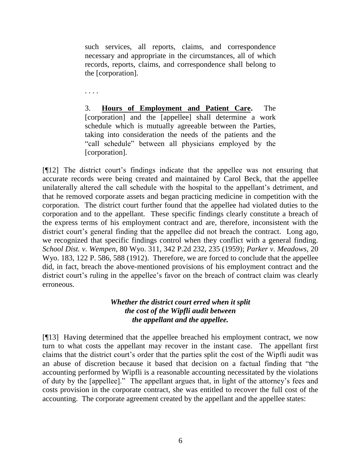such services, all reports, claims, and correspondence necessary and appropriate in the circumstances, all of which records, reports, claims, and correspondence shall belong to the [corporation].

. . . .

3. **Hours of Employment and Patient Care.** The [corporation] and the [appellee] shall determine a work schedule which is mutually agreeable between the Parties, taking into consideration the needs of the patients and the "call schedule" between all physicians employed by the [corporation].

[¶12] The district court"s findings indicate that the appellee was not ensuring that accurate records were being created and maintained by Carol Beck, that the appellee unilaterally altered the call schedule with the hospital to the appellant"s detriment, and that he removed corporate assets and began practicing medicine in competition with the corporation. The district court further found that the appellee had violated duties to the corporation and to the appellant. These specific findings clearly constitute a breach of the express terms of his employment contract and are, therefore, inconsistent with the district court's general finding that the appellee did not breach the contract. Long ago, we recognized that specific findings control when they conflict with a general finding. *School Dist. v. Wempen*, 80 Wyo. 311, 342 P.2d 232, 235 (1959); *Parker v. Meadows*, 20 Wyo. 183, 122 P. 586, 588 (1912). Therefore, we are forced to conclude that the appellee did, in fact, breach the above-mentioned provisions of his employment contract and the district court's ruling in the appellee's favor on the breach of contract claim was clearly erroneous.

# *Whether the district court erred when it split the cost of the Wipfli audit between the appellant and the appellee.*

[¶13] Having determined that the appellee breached his employment contract, we now turn to what costs the appellant may recover in the instant case. The appellant first claims that the district court"s order that the parties split the cost of the Wipfli audit was an abuse of discretion because it based that decision on a factual finding that "the accounting performed by Wipfli is a reasonable accounting necessitated by the violations of duty by the [appellee]." The appellant argues that, in light of the attorney"s fees and costs provision in the corporate contract, she was entitled to recover the full cost of the accounting. The corporate agreement created by the appellant and the appellee states: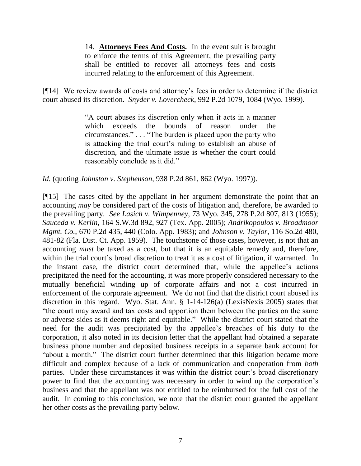14. **Attorneys Fees And Costs.** In the event suit is brought to enforce the terms of this Agreement, the prevailing party shall be entitled to recover all attorneys fees and costs incurred relating to the enforcement of this Agreement.

[¶14] We review awards of costs and attorney"s fees in order to determine if the district court abused its discretion. *Snyder v. Lovercheck*, 992 P.2d 1079, 1084 (Wyo. 1999).

> "A court abuses its discretion only when it acts in a manner which exceeds the bounds of reason under the circumstances." . . . "The burden is placed upon the party who is attacking the trial court"s ruling to establish an abuse of discretion, and the ultimate issue is whether the court could reasonably conclude as it did."

*Id.* (quoting *Johnston v. Stephenson*, 938 P.2d 861, 862 (Wyo. 1997)).

[¶15] The cases cited by the appellant in her argument demonstrate the point that an accounting *may* be considered part of the costs of litigation and, therefore, be awarded to the prevailing party. *See Lasich v. Wimpenney*, 73 Wyo. 345, 278 P.2d 807, 813 (1955); *Sauceda v. Kerlin*, 164 S.W.3d 892, 927 (Tex. App. 2005); *Andrikopoulos v. Broadmoor Mgmt. Co.*, 670 P.2d 435, 440 (Colo. App. 1983); and *Johnson v. Taylor*, 116 So.2d 480, 481-82 (Fla. Dist. Ct. App. 1959). The touchstone of those cases, however, is not that an accounting *must* be taxed as a cost, but that it is an equitable remedy and, therefore, within the trial court's broad discretion to treat it as a cost of litigation, if warranted. In the instant case, the district court determined that, while the appellee"s actions precipitated the need for the accounting, it was more properly considered necessary to the mutually beneficial winding up of corporate affairs and not a cost incurred in enforcement of the corporate agreement. We do not find that the district court abused its discretion in this regard. Wyo. Stat. Ann. § 1-14-126(a) (LexisNexis 2005) states that "the court may award and tax costs and apportion them between the parties on the same or adverse sides as it deems right and equitable." While the district court stated that the need for the audit was precipitated by the appellee"s breaches of his duty to the corporation, it also noted in its decision letter that the appellant had obtained a separate business phone number and deposited business receipts in a separate bank account for "about a month." The district court further determined that this litigation became more difficult and complex because of a lack of communication and cooperation from *both* parties. Under these circumstances it was within the district court's broad discretionary power to find that the accounting was necessary in order to wind up the corporation"s business and that the appellant was not entitled to be reimbursed for the full cost of the audit. In coming to this conclusion, we note that the district court granted the appellant her other costs as the prevailing party below.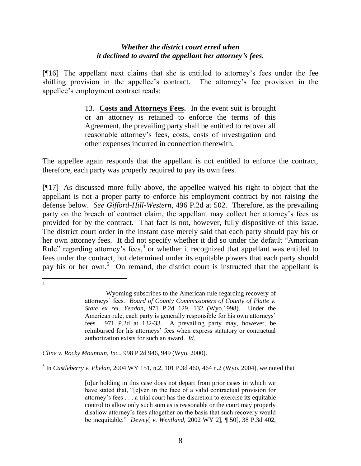# *Whether the district court erred when it declined to award the appellant her attorney's fees.*

[¶16] The appellant next claims that she is entitled to attorney"s fees under the fee shifting provision in the appellee"s contract. The attorney"s fee provision in the appellee"s employment contract reads:

> 13. **Costs and Attorneys Fees.** In the event suit is brought or an attorney is retained to enforce the terms of this Agreement, the prevailing party shall be entitled to recover all reasonable attorney"s fees, costs, costs of investigation and other expenses incurred in connection therewith.

The appellee again responds that the appellant is not entitled to enforce the contract, therefore, each party was properly required to pay its own fees.

[¶17] As discussed more fully above, the appellee waived his right to object that the appellant is not a proper party to enforce his employment contract by not raising the defense below. *See Gifford-Hill-Western*, 496 P.2d at 502. Therefore, as the prevailing party on the breach of contract claim, the appellant may collect her attorney"s fees as provided for by the contract. That fact is not, however, fully dispositive of this issue. The district court order in the instant case merely said that each party should pay his or her own attorney fees. It did not specify whether it did so under the default "American Rule" regarding attorney's fees, $4$  or whether it recognized that appellant was entitled to fees under the contract, but determined under its equitable powers that each party should pay his or her own. <sup>5</sup> On remand, the district court is instructed that the appellant is

*Cline v. Rocky Mountain, Inc.*, 998 P.2d 946, 949 (Wyo. 2000).

5 In *Castleberry v. Phelan*, 2004 WY 151, n.2, 101 P.3d 460, 464 n.2 (Wyo. 2004), we noted that

 $\overline{a}$ 4

Wyoming subscribes to the American rule regarding recovery of attorneys" fees. *Board of County Commissioners of County of Platte v. State ex rel. Yeadon*, 971 P.2d 129, 132 (Wyo.1998). Under the American rule, each party is generally responsible for his own attorneys' fees. 971 P.2d at 132-33. A prevailing party may, however, be reimbursed for his attorneys" fees when express statutory or contractual authorization exists for such an award. *Id.*

<sup>[</sup>o]ur holding in this case does not depart from prior cases in which we have stated that, "[e]ven in the face of a valid contractual provision for attorney"s fees . . . a trial court has the discretion to exercise its equitable control to allow only such sum as is reasonable or the court may properly disallow attorney"s fees altogether on the basis that such recovery would be inequitable." *Dewey*[ *v. Wentland*, 2002 WY 2], ¶ 50[, 38 P.3d 402,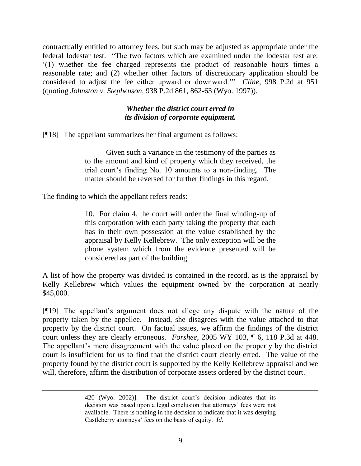contractually entitled to attorney fees, but such may be adjusted as appropriate under the federal lodestar test. "The two factors which are examined under the lodestar test are: "(1) whether the fee charged represents the product of reasonable hours times a reasonable rate; and (2) whether other factors of discretionary application should be considered to adjust the fee either upward or downward."" *Cline*, 998 P.2d at 951 (quoting *Johnston v. Stephenson*, 938 P.2d 861, 862-63 (Wyo. 1997)).

# *Whether the district court erred in its division of corporate equipment.*

[¶18] The appellant summarizes her final argument as follows:

Given such a variance in the testimony of the parties as to the amount and kind of property which they received, the trial court"s finding No. 10 amounts to a non-finding. The matter should be reversed for further findings in this regard.

The finding to which the appellant refers reads:

 $\overline{a}$ 

10. For claim 4, the court will order the final winding-up of this corporation with each party taking the property that each has in their own possession at the value established by the appraisal by Kelly Kellebrew. The only exception will be the phone system which from the evidence presented will be considered as part of the building.

A list of how the property was divided is contained in the record, as is the appraisal by Kelly Kellebrew which values the equipment owned by the corporation at nearly \$45,000.

[¶19] The appellant"s argument does not allege any dispute with the nature of the property taken by the appellee. Instead, she disagrees with the value attached to that property by the district court. On factual issues, we affirm the findings of the district court unless they are clearly erroneous. *Forshee*, 2005 WY 103, ¶ 6, 118 P.3d at 448. The appellant's mere disagreement with the value placed on the property by the district court is insufficient for us to find that the district court clearly erred. The value of the property found by the district court is supported by the Kelly Kellebrew appraisal and we will, therefore, affirm the distribution of corporate assets ordered by the district court.

<sup>420 (</sup>Wyo. 2002)]. The district court's decision indicates that its decision was based upon a legal conclusion that attorneys" fees were not available. There is nothing in the decision to indicate that it was denying Castleberry attorneys" fees on the basis of equity. *Id.*